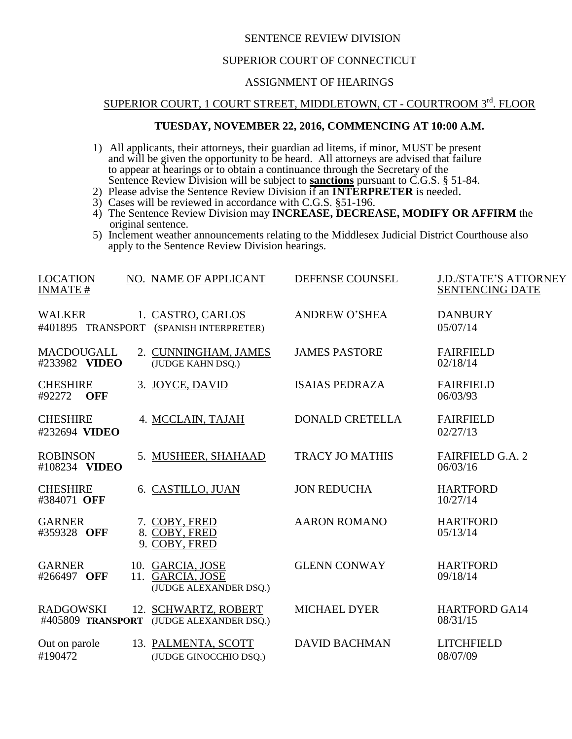## SENTENCE REVIEW DIVISION

### SUPERIOR COURT OF CONNECTICUT

## ASSIGNMENT OF HEARINGS

# SUPERIOR COURT, 1 COURT STREET, MIDDLETOWN, CT - COURTROOM 3rd. FLOOR

### **TUESDAY, NOVEMBER 22, 2016, COMMENCING AT 10:00 A.M.**

- 1) All applicants, their attorneys, their guardian ad litems, if minor, **MUST** be present and will be given the opportunity to be heard. All attorneys are advised that failure to appear at hearings or to obtain a continuance through the Secretary of the Sentence Review Division will be subject to **sanctions** pursuant to C.G.S. § 51-84.
- 2) Please advise the Sentence Review Division if an **INTERPRETER** is needed.
- 3) Cases will be reviewed in accordance with C.G.S. §51-196.
- 4) The Sentence Review Division may **INCREASE, DECREASE, MODIFY OR AFFIRM** the original sentence.
- 5) Inclement weather announcements relating to the Middlesex Judicial District Courthouse also apply to the Sentence Review Division hearings.

| <b>LOCATION</b><br><b>INMATE#</b>       | NO. NAME OF APPLICANT                                            | DEFENSE COUNSEL        | <b>J.D./STATE'S ATTORNEY</b><br><b>SENTENCING DATE</b> |
|-----------------------------------------|------------------------------------------------------------------|------------------------|--------------------------------------------------------|
| <b>WALKER</b>                           | 1. CASTRO, CARLOS<br>#401895 TRANSPORT (SPANISH INTERPRETER)     | <b>ANDREW O'SHEA</b>   | <b>DANBURY</b><br>05/07/14                             |
| <b>MACDOUGALL</b><br>#233982 VIDEO      | 2. CUNNINGHAM, JAMES<br>(JUDGE KAHN DSQ.)                        | <b>JAMES PASTORE</b>   | <b>FAIRFIELD</b><br>02/18/14                           |
| <b>CHESHIRE</b><br>#92272<br><b>OFF</b> | 3. JOYCE, DAVID                                                  | <b>ISAIAS PEDRAZA</b>  | <b>FAIRFIELD</b><br>06/03/93                           |
| <b>CHESHIRE</b><br>#232694 VIDEO        | 4. MCCLAIN, TAJAH                                                | <b>DONALD CRETELLA</b> | <b>FAIRFIELD</b><br>02/27/13                           |
| <b>ROBINSON</b><br>#108234 VIDEO        | 5. MUSHEER, SHAHAAD                                              | <b>TRACY JO MATHIS</b> | <b>FAIRFIELD G.A. 2</b><br>06/03/16                    |
| <b>CHESHIRE</b><br>#384071 OFF          | 6. CASTILLO, JUAN                                                | <b>JON REDUCHA</b>     | <b>HARTFORD</b><br>10/27/14                            |
| <b>GARNER</b><br>#359328 OFF            | 7. COBY, FRED<br>8. COBY, FRED<br>9. COBY, FRED                  | <b>AARON ROMANO</b>    | <b>HARTFORD</b><br>05/13/14                            |
| <b>GARNER</b><br>#266497 OFF            | 10. GARCIA, JOSE<br>11. GARCIA, JOSE<br>(JUDGE ALEXANDER DSQ.)   | <b>GLENN CONWAY</b>    | <b>HARTFORD</b><br>09/18/14                            |
| <b>RADGOWSKI</b>                        | 12. SCHWARTZ, ROBERT<br>#405809 TRANSPORT (JUDGE ALEXANDER DSQ.) | <b>MICHAEL DYER</b>    | <b>HARTFORD GA14</b><br>08/31/15                       |
| Out on parole<br>#190472                | 13. PALMENTA, SCOTT<br>(JUDGE GINOCCHIO DSQ.)                    | <b>DAVID BACHMAN</b>   | <b>LITCHFIELD</b><br>08/07/09                          |